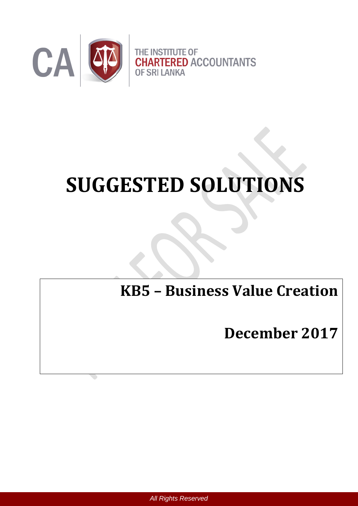

# **SUGGESTED SOLUTIONS**

# **KB5 – Business Value Creation**

## **December 2017**

 *All Rights Reserved*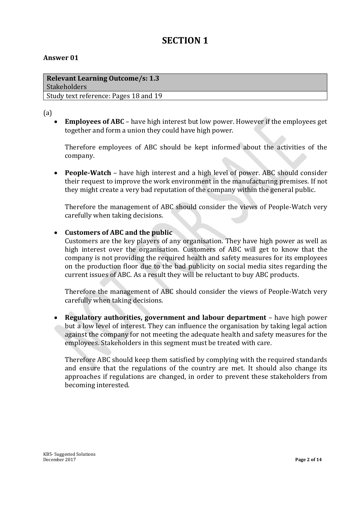### **SECTION 1**

#### **Answer 01**

| <b>Relevant Learning Outcome/s: 1.3</b> |  |
|-----------------------------------------|--|
| <b>Stakeholders</b>                     |  |
| Study text reference: Pages 18 and 19   |  |

#### (a)

 **Employees of ABC** – have high interest but low power. However if the employees get together and form a union they could have high power.

Therefore employees of ABC should be kept informed about the activities of the company.

 **People-Watch** – have high interest and a high level of power. ABC should consider their request to improve the work environment in the manufacturing premises. If not they might create a very bad reputation of the company within the general public.

Therefore the management of ABC should consider the views of People-Watch very carefully when taking decisions.

#### **Customers of ABC and the public**

Customers are the key players of any organisation. They have high power as well as high interest over the organisation. Customers of ABC will get to know that the company is not providing the required health and safety measures for its employees on the production floor due to the bad publicity on social media sites regarding the current issues of ABC. As a result they will be reluctant to buy ABC products.

Therefore the management of ABC should consider the views of People-Watch very carefully when taking decisions.

 **Regulatory authorities, government and labour department** – have high power but a low level of interest. They can influence the organisation by taking legal action against the company for not meeting the adequate health and safety measures for the employees. Stakeholders in this segment must be treated with care.

Therefore ABC should keep them satisfied by complying with the required standards and ensure that the regulations of the country are met. It should also change its approaches if regulations are changed, in order to prevent these stakeholders from becoming interested.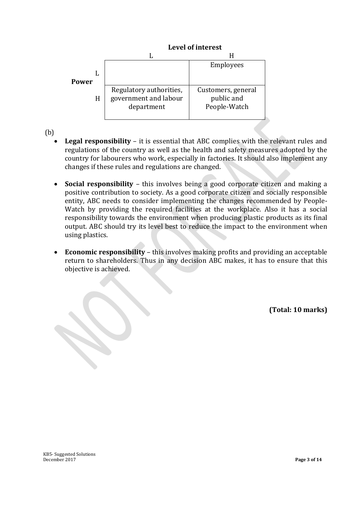#### **Level of interest**

|       |                                                                | Employees                                        |
|-------|----------------------------------------------------------------|--------------------------------------------------|
| Power |                                                                |                                                  |
| H     | Regulatory authorities,<br>government and labour<br>department | Customers, general<br>public and<br>People-Watch |

(b)

- **Legal responsibility** it is essential that ABC complies with the relevant rules and regulations of the country as well as the health and safety measures adopted by the country for labourers who work, especially in factories. It should also implement any changes if these rules and regulations are changed.
- **Social responsibility** this involves being a good corporate citizen and making a positive contribution to society. As a good corporate citizen and socially responsible entity, ABC needs to consider implementing the changes recommended by People-Watch by providing the required facilities at the workplace. Also it has a social responsibility towards the environment when producing plastic products as its final output. ABC should try its level best to reduce the impact to the environment when using plastics.
- **Economic responsibility** this involves making profits and providing an acceptable return to shareholders. Thus in any decision ABC makes, it has to ensure that this objective is achieved.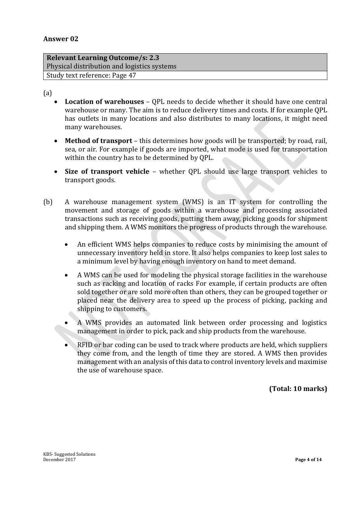**Relevant Learning Outcome/s: 2.3**  Physical distribution and logistics systems Study text reference: Page 47

(a)

- **Location of warehouses** QPL needs to decide whether it should have one central warehouse or many. The aim is to reduce delivery times and costs. If for example QPL has outlets in many locations and also distributes to many locations, it might need many warehouses.
- **Method of transport** this determines how goods will be transported; by road, rail, sea, or air. For example if goods are imported, what mode is used for transportation within the country has to be determined by QPL.
- **Size of transport vehicle** whether QPL should use large transport vehicles to transport goods.
- (b) A warehouse management system (WMS) is an IT system for controlling the movement and storage of goods within a warehouse and processing associated transactions such as receiving goods, putting them away, picking goods for shipment and shipping them. A WMS monitors the progress of products through the warehouse.
	- An efficient WMS helps companies to reduce costs by minimising the amount of unnecessary inventory held in store. It also helps companies to keep lost sales to a minimum level by having enough inventory on hand to meet demand.
	- A WMS can be used for modeling the physical storage facilities in the warehouse such as racking and location of racks For example, if certain products are often sold together or are sold more often than others, they can be grouped together or placed near the delivery area to speed up the process of picking, packing and shipping to customers.
	- A WMS provides an automated link between order processing and logistics management in order to pick, pack and ship products from the warehouse.
	- RFID or bar coding can be used to track where products are held, which suppliers they come from, and the length of time they are stored. A WMS then provides management with an analysis of this data to control inventory levels and maximise the use of warehouse space.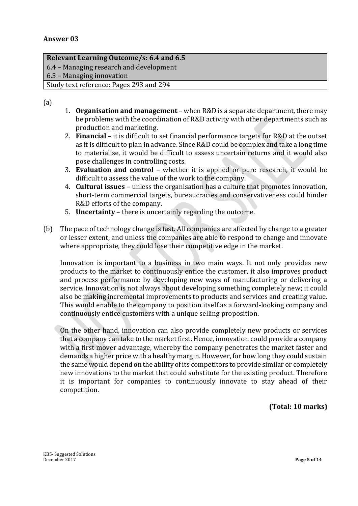#### **Relevant Learning Outcome/s: 6.4 and 6.5**

6.4 – Managing research and development

6.5 – Managing innovation

Study text reference: Pages 293 and 294

(a)

- 1. **Organisation and management** when R&D is a separate department, there may be problems with the coordination of R&D activity with other departments such as production and marketing.
- 2. **Financial** it is difficult to set financial performance targets for R&D at the outset as it is difficult to plan in advance. Since R&D could be complex and take a long time to materialise, it would be difficult to assess uncertain returns and it would also pose challenges in controlling costs.
- 3. **Evaluation and control** whether it is applied or pure research, it would be difficult to assess the value of the work to the company.
- 4. **Cultural issues** unless the organisation has a culture that promotes innovation, short-term commercial targets, bureaucracies and conservativeness could hinder R&D efforts of the company.
- 5. **Uncertainty** there is uncertainly regarding the outcome.
- (b) The pace of technology change is fast. All companies are affected by change to a greater or lesser extent, and unless the companies are able to respond to change and innovate where appropriate, they could lose their competitive edge in the market.

Innovation is important to a business in two main ways. It not only provides new products to the market to continuously entice the customer, it also improves product and process performance by developing new ways of manufacturing or delivering a service. Innovation is not always about developing something completely new; it could also be making incremental improvements to products and services and creating value. This would enable to the company to position itself as a forward-looking company and continuously entice customers with a unique selling proposition.

On the other hand, innovation can also provide completely new products or services that a company can take to the market first. Hence, innovation could provide a company with a first mover advantage, whereby the company penetrates the market faster and demands a higher price with a healthy margin. However, for how long they could sustain the same would depend on the ability of its competitors to provide similar or completely new innovations to the market that could substitute for the existing product. Therefore it is important for companies to continuously innovate to stay ahead of their competition.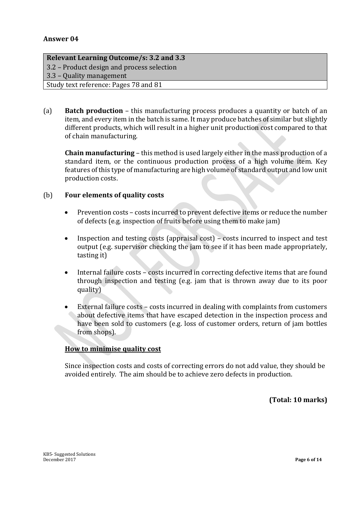#### **Relevant Learning Outcome/s: 3.2 and 3.3**

3.2 – Product design and process selection

3.3 – Quality management

Study text reference: Pages 78 and 81

(a) **Batch production** – this manufacturing process produces a quantity or batch of an item, and every item in the batch is same. It may produce batches of similar but slightly different products, which will result in a higher unit production cost compared to that of chain manufacturing.

**Chain manufacturing** – this method is used largely either in the mass production of a standard item, or the continuous production process of a high volume item. Key features of this type of manufacturing are high volume of standard output and low unit production costs.

#### (b) **Four elements of quality costs**

- Prevention costs costs incurred to prevent defective items or reduce the number of defects (e.g. inspection of fruits before using them to make jam)
- Inspection and testing costs (appraisal cost) costs incurred to inspect and test output (e.g. supervisor checking the jam to see if it has been made appropriately, tasting it)
- Internal failure costs costs incurred in correcting defective items that are found through inspection and testing (e.g. jam that is thrown away due to its poor quality)
- External failure costs costs incurred in dealing with complaints from customers about defective items that have escaped detection in the inspection process and have been sold to customers (e.g. loss of customer orders, return of jam bottles from shops).

#### **How to minimise quality cost**

Since inspection costs and costs of correcting errors do not add value, they should be avoided entirely. The aim should be to achieve zero defects in production.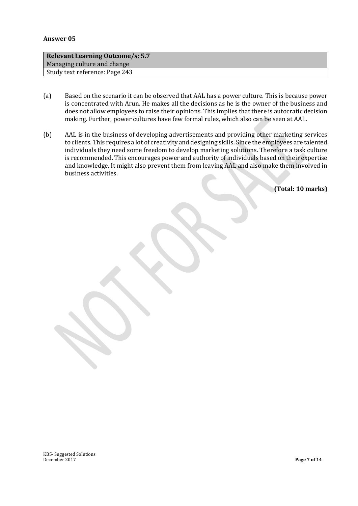| <b>Relevant Learning Outcome/s: 5.7</b> |  |  |
|-----------------------------------------|--|--|
| Managing culture and change             |  |  |
| Study text reference: Page 243          |  |  |

- (a) Based on the scenario it can be observed that AAL has a power culture. This is because power is concentrated with Arun. He makes all the decisions as he is the owner of the business and does not allow employees to raise their opinions. This implies that there is autocratic decision making. Further, power cultures have few formal rules, which also can be seen at AAL.
- (b) AAL is in the business of developing advertisements and providing other marketing services to clients. This requires a lot of creativity and designing skills. Since the employees are talented individuals they need some freedom to develop marketing solutions. Therefore a task culture is recommended. This encourages power and authority of individuals based on their expertise and knowledge. It might also prevent them from leaving AAL and also make them involved in business activities.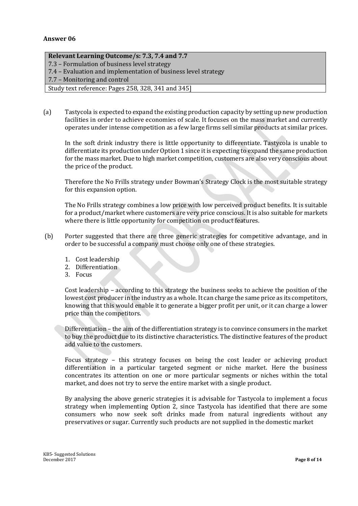#### **Relevant Learning Outcome/s: 7.3, 7.4 and 7.7**

- 7.3 Formulation of business level strategy
- 7.4 Evaluation and implementation of business level strategy
- 7.7 Monitoring and control

Study text reference: Pages 258, 328, 341 and 345]

(a) Tastycola is expected to expand the existing production capacity by setting up new production facilities in order to achieve economies of scale. It focuses on the mass market and currently operates under intense competition as a few large firms sell similar products at similar prices.

In the soft drink industry there is little opportunity to differentiate. Tastycola is unable to differentiate its production under Option 1 since it is expecting to expand the same production for the mass market. Due to high market competition, customers are also very conscious about the price of the product.

Therefore the No Frills strategy under Bowman's Strategy Clock is the most suitable strategy for this expansion option.

The No Frills strategy combines a low price with low perceived product benefits. It is suitable for a product/market where customers are very price conscious. It is also suitable for markets where there is little opportunity for competition on product features.

- (b) Porter suggested that there are three generic strategies for competitive advantage, and in order to be successful a company must choose only one of these strategies.
	- 1. Cost leadership
	- 2. Differentiation
	- 3. Focus

Cost leadership – according to this strategy the business seeks to achieve the position of the lowest cost producer in the industry as a whole. It can charge the same price as its competitors, knowing that this would enable it to generate a bigger profit per unit, or it can charge a lower price than the competitors.

Differentiation – the aim of the differentiation strategy is to convince consumers in the market to buy the product due to its distinctive characteristics. The distinctive features of the product add value to the customers.

Focus strategy – this strategy focuses on being the cost leader or achieving product differentiation in a particular targeted segment or niche market. Here the business concentrates its attention on one or more particular segments or niches within the total market, and does not try to serve the entire market with a single product.

By analysing the above generic strategies it is advisable for Tastycola to implement a focus strategy when implementing Option 2, since Tastycola has identified that there are some consumers who now seek soft drinks made from natural ingredients without any preservatives or sugar. Currently such products are not supplied in the domestic market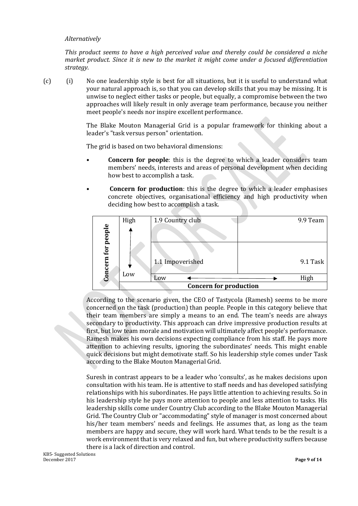#### *Alternatively*

*This product seems to have a high perceived value and thereby could be considered a niche market product. Since it is new to the market it might come under a focused differentiation strategy.*

(c) (i) No one leadership style is best for all situations, but it is useful to understand what your natural approach is, so that you can develop skills that you may be missing. It is unwise to neglect either tasks or people, but equally, a compromise between the two approaches will likely result in only average team performance, because you neither meet people's needs nor inspire excellent performance.

> The Blake Mouton Managerial Grid is a popular framework for thinking about a leader's "task versus person" orientation.

The grid is based on two behavioral dimensions:

- **Concern for people**: this is the degree to which a leader considers team members' needs, interests and areas of personal development when deciding how best to accomplish a task.
- **Concern for production**: this is the degree to which a leader emphasises concrete objectives, organisational efficiency and high productivity when deciding how best to accomplish a task.



According to the scenario given, the CEO of Tastycola (Ramesh) seems to be more concerned on the task (production) than people. People in this category believe that their team members are simply a means to an end. The team's needs are always secondary to productivity. This approach can drive impressive production results at first, but low team morale and motivation will ultimately affect people's performance. Ramesh makes his own decisions expecting compliance from his staff. He pays more attention to achieving results, ignoring the subordinates' needs. This might enable quick decisions but might demotivate staff. So his leadership style comes under Task according to the Blake Mouton Managerial Grid.

Suresh in contrast appears to be a leader who 'consults', as he makes decisions upon consultation with his team. He is attentive to staff needs and has developed satisfying relationships with his subordinates. He pays little attention to achieving results. So in his leadership style he pays more attention to people and less attention to tasks. His leadership skills come under Country Club according to the Blake Mouton Managerial Grid. The Country Club or "accommodating" style of manager is most concerned about his/her team members' needs and feelings. He assumes that, as long as the team members are happy and secure, they will work hard. What tends to be the result is a work environment that is very relaxed and fun, but where productivity suffers because there is a lack of direction and control.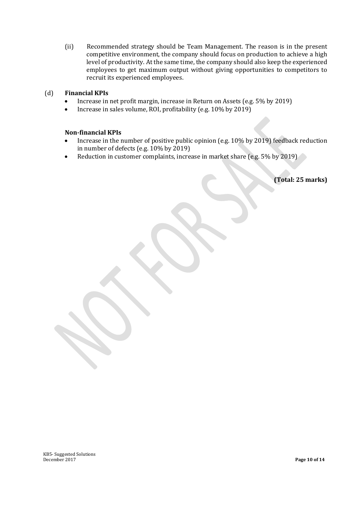(ii) Recommended strategy should be Team Management. The reason is in the present competitive environment, the company should focus on production to achieve a high level of productivity. At the same time, the company should also keep the experienced employees to get maximum output without giving opportunities to competitors to recruit its experienced employees.

#### (d) **Financial KPIs**

- Increase in net profit margin, increase in Return on Assets (e.g. 5% by 2019)
- Increase in sales volume, ROI, profitability (e.g. 10% by 2019)

#### **Non-financial KPIs**

- Increase in the number of positive public opinion (e.g. 10% by 2019) feedback reduction in number of defects (e.g. 10% by 2019)
- Reduction in customer complaints, increase in market share (e.g. 5% by 2019)

**(Total: 25 marks)**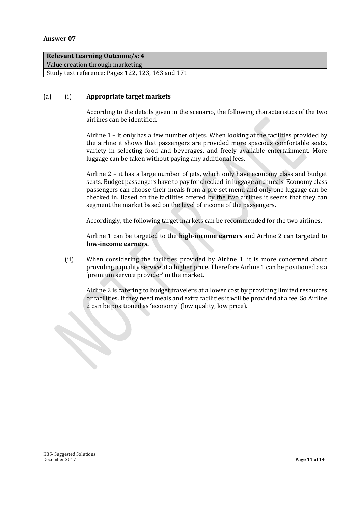#### **Relevant Learning Outcome/s: 4**

Value creation through marketing

Study text reference: Pages 122, 123, 163 and 171

#### (a) (i) **Appropriate target markets**

According to the details given in the scenario, the following characteristics of the two airlines can be identified.

Airline 1 – it only has a few number of jets. When looking at the facilities provided by the airline it shows that passengers are provided more spacious comfortable seats, variety in selecting food and beverages, and freely available entertainment. More luggage can be taken without paying any additional fees.

Airline 2 – it has a large number of jets, which only have economy class and budget seats. Budget passengers have to pay for checked-in luggage and meals. Economy class passengers can choose their meals from a pre-set menu and only one luggage can be checked in. Based on the facilities offered by the two airlines it seems that they can segment the market based on the level of income of the passengers.

Accordingly, the following target markets can be recommended for the two airlines.

Airline 1 can be targeted to the **high-income earners** and Airline 2 can targeted to **low-income earners.** 

(ii) When considering the facilities provided by Airline 1, it is more concerned about providing a quality service at a higher price. Therefore Airline 1 can be positioned as a 'premium service provider' in the market.

Airline 2 is catering to budget travelers at a lower cost by providing limited resources or facilities. If they need meals and extra facilities it will be provided at a fee. So Airline 2 can be positioned as 'economy' (low quality, low price).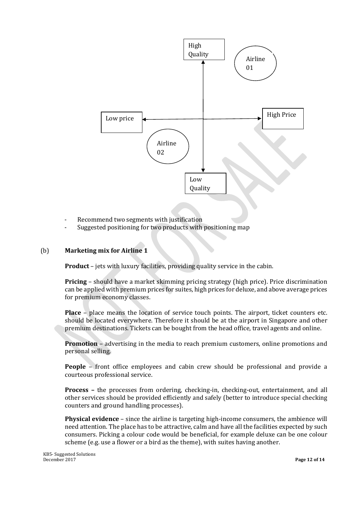

- Recommend two segments with justification
- Suggested positioning for two products with positioning map

#### (b) **Marketing mix for Airline 1**

**Product** – jets with luxury facilities, providing quality service in the cabin.

**Pricing** – should have a market skimming pricing strategy (high price). Price discrimination can be applied with premium prices for suites, high prices for deluxe, and above average prices for premium economy classes.

**Place** – place means the location of service touch points. The airport, ticket counters etc. should be located everywhere. Therefore it should be at the airport in Singapore and other premium destinations. Tickets can be bought from the head office, travel agents and online.

**Promotion** – advertising in the media to reach premium customers, online promotions and personal selling.

**People** – front office employees and cabin crew should be professional and provide a courteous professional service.

**Process –** the processes from ordering, checking-in, checking-out, entertainment, and all other services should be provided efficiently and safely (better to introduce special checking counters and ground handling processes).

**Physical evidence** – since the airline is targeting high-income consumers, the ambience will need attention. The place has to be attractive, calm and have all the facilities expected by such consumers. Picking a colour code would be beneficial, for example deluxe can be one colour scheme (e.g. use a flower or a bird as the theme), with suites having another.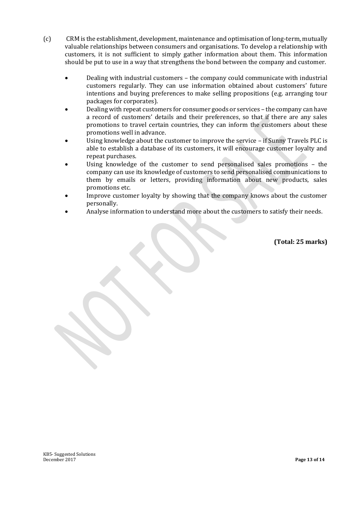- (c) CRM is the establishment, development, maintenance and optimisation of long-term, mutually valuable relationships between consumers and organisations. To develop a relationship with customers, it is not sufficient to simply gather information about them. This information should be put to use in a way that strengthens the bond between the company and customer.
	- Dealing with industrial customers the company could communicate with industrial customers regularly. They can use information obtained about customers' future intentions and buying preferences to make selling propositions (e.g. arranging tour packages for corporates).
	- Dealing with repeat customers for consumer goods or services the company can have a record of customers' details and their preferences, so that if there are any sales promotions to travel certain countries, they can inform the customers about these promotions well in advance.
	- Using knowledge about the customer to improve the service if Sunny Travels PLC is able to establish a database of its customers, it will encourage customer loyalty and repeat purchases.
	- Using knowledge of the customer to send personalised sales promotions the company can use its knowledge of customers to send personalised communications to them by emails or letters, providing information about new products, sales promotions etc.
	- Improve customer loyalty by showing that the company knows about the customer personally.
	- Analyse information to understand more about the customers to satisfy their needs.

**(Total: 25 marks)**